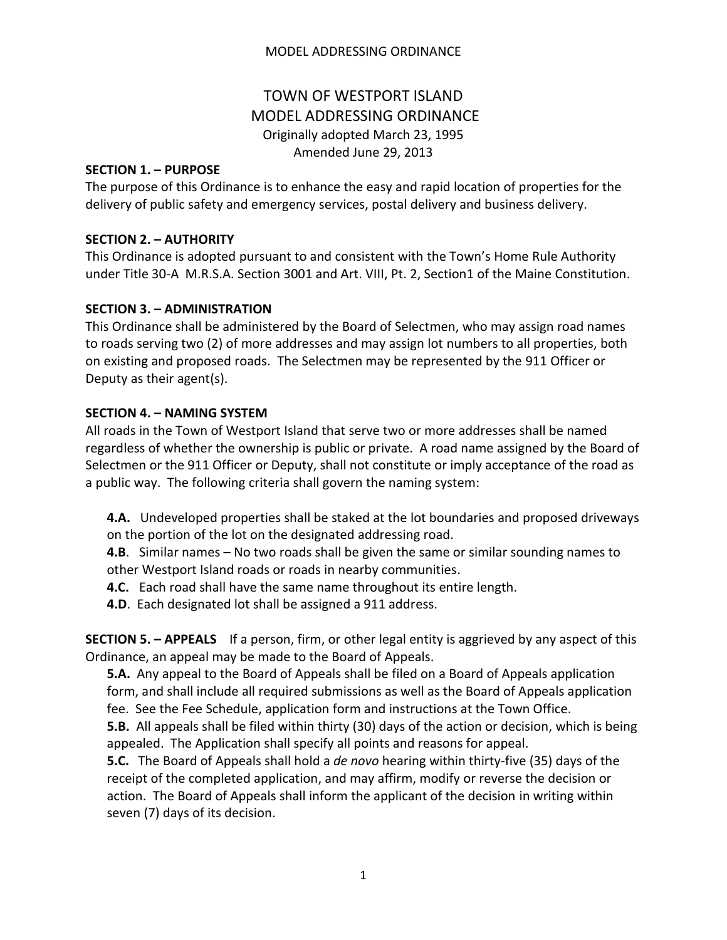## MODEL ADDRESSING ORDINANCE

# TOWN OF WESTPORT ISLAND MODEL ADDRESSING ORDINANCE Originally adopted March 23, 1995 Amended June 29, 2013

#### **SECTION 1. – PURPOSE**

The purpose of this Ordinance is to enhance the easy and rapid location of properties for the delivery of public safety and emergency services, postal delivery and business delivery.

#### **SECTION 2. – AUTHORITY**

This Ordinance is adopted pursuant to and consistent with the Town's Home Rule Authority under Title 30-A M.R.S.A. Section 3001 and Art. VIII, Pt. 2, Section1 of the Maine Constitution.

## **SECTION 3. – ADMINISTRATION**

This Ordinance shall be administered by the Board of Selectmen, who may assign road names to roads serving two (2) of more addresses and may assign lot numbers to all properties, both on existing and proposed roads. The Selectmen may be represented by the 911 Officer or Deputy as their agent(s).

## **SECTION 4. – NAMING SYSTEM**

All roads in the Town of Westport Island that serve two or more addresses shall be named regardless of whether the ownership is public or private. A road name assigned by the Board of Selectmen or the 911 Officer or Deputy, shall not constitute or imply acceptance of the road as a public way. The following criteria shall govern the naming system:

**4.A.** Undeveloped properties shall be staked at the lot boundaries and proposed driveways on the portion of the lot on the designated addressing road.

**4.B**. Similar names – No two roads shall be given the same or similar sounding names to other Westport Island roads or roads in nearby communities.

- **4.C.** Each road shall have the same name throughout its entire length.
- **4.D**. Each designated lot shall be assigned a 911 address.

**SECTION 5. – APPEALS** If a person, firm, or other legal entity is aggrieved by any aspect of this Ordinance, an appeal may be made to the Board of Appeals.

**5.A.** Any appeal to the Board of Appeals shall be filed on a Board of Appeals application form, and shall include all required submissions as well as the Board of Appeals application fee. See the Fee Schedule, application form and instructions at the Town Office.

**5.B.** All appeals shall be filed within thirty (30) days of the action or decision, which is being appealed. The Application shall specify all points and reasons for appeal.

**5.C.** The Board of Appeals shall hold a *de novo* hearing within thirty-five (35) days of the receipt of the completed application, and may affirm, modify or reverse the decision or action. The Board of Appeals shall inform the applicant of the decision in writing within seven (7) days of its decision.